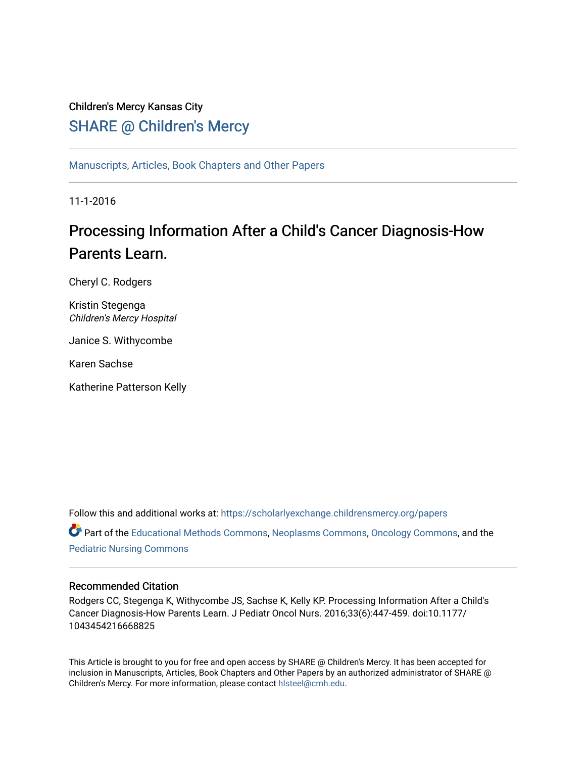# Children's Mercy Kansas City SHARE @ Children's Mercy

[Manuscripts, Articles, Book Chapters and Other Papers](https://scholarlyexchange.childrensmercy.org/papers)

11-1-2016

# Processing Information After a Child's Cancer Diagnosis-How Parents Learn.

Cheryl C. Rodgers

Kristin Stegenga Children's Mercy Hospital

Janice S. Withycombe

Karen Sachse

Katherine Patterson Kelly

Follow this and additional works at: [https://scholarlyexchange.childrensmercy.org/papers](https://scholarlyexchange.childrensmercy.org/papers?utm_source=scholarlyexchange.childrensmercy.org%2Fpapers%2F1034&utm_medium=PDF&utm_campaign=PDFCoverPages)  Part of the [Educational Methods Commons,](http://network.bepress.com/hgg/discipline/1227?utm_source=scholarlyexchange.childrensmercy.org%2Fpapers%2F1034&utm_medium=PDF&utm_campaign=PDFCoverPages) [Neoplasms Commons,](http://network.bepress.com/hgg/discipline/924?utm_source=scholarlyexchange.childrensmercy.org%2Fpapers%2F1034&utm_medium=PDF&utm_campaign=PDFCoverPages) [Oncology Commons](http://network.bepress.com/hgg/discipline/694?utm_source=scholarlyexchange.childrensmercy.org%2Fpapers%2F1034&utm_medium=PDF&utm_campaign=PDFCoverPages), and the [Pediatric Nursing Commons](http://network.bepress.com/hgg/discipline/723?utm_source=scholarlyexchange.childrensmercy.org%2Fpapers%2F1034&utm_medium=PDF&utm_campaign=PDFCoverPages)

# Recommended Citation

Rodgers CC, Stegenga K, Withycombe JS, Sachse K, Kelly KP. Processing Information After a Child's Cancer Diagnosis-How Parents Learn. J Pediatr Oncol Nurs. 2016;33(6):447-459. doi:10.1177/ 1043454216668825

This Article is brought to you for free and open access by SHARE @ Children's Mercy. It has been accepted for inclusion in Manuscripts, Articles, Book Chapters and Other Papers by an authorized administrator of SHARE @ Children's Mercy. For more information, please contact [hlsteel@cmh.edu](mailto:hlsteel@cmh.edu).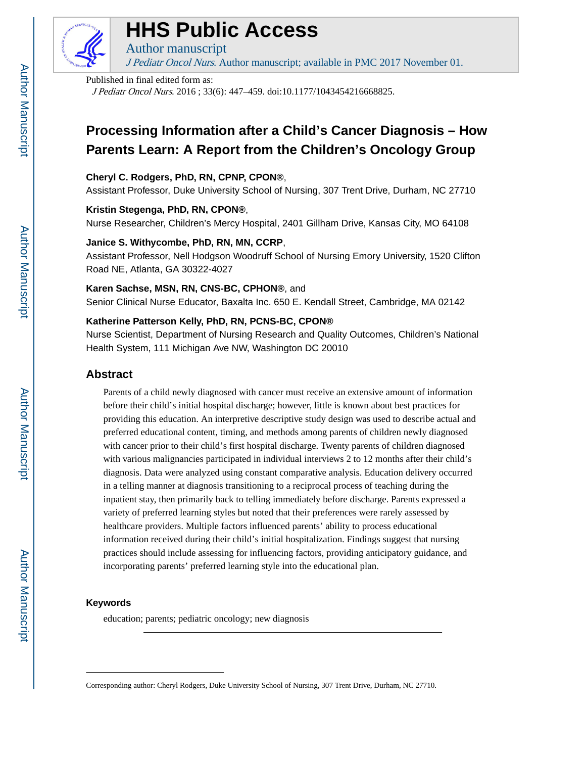

# **HHS Public Access**

Author manuscript J Pediatr Oncol Nurs. Author manuscript; available in PMC 2017 November 01.

# Published in final edited form as:

J Pediatr Oncol Nurs. 2016 ; 33(6): 447–459. doi:10.1177/1043454216668825.

# **Processing Information after a Child's Cancer Diagnosis – How Parents Learn: A Report from the Children's Oncology Group**

# **Cheryl C. Rodgers, PhD, RN, CPNP, CPON®**,

Assistant Professor, Duke University School of Nursing, 307 Trent Drive, Durham, NC 27710

# **Kristin Stegenga, PhD, RN, CPON®**,

Nurse Researcher, Children's Mercy Hospital, 2401 Gillham Drive, Kansas City, MO 64108

# **Janice S. Withycombe, PhD, RN, MN, CCRP**,

Assistant Professor, Nell Hodgson Woodruff School of Nursing Emory University, 1520 Clifton Road NE, Atlanta, GA 30322-4027

# **Karen Sachse, MSN, RN, CNS-BC, CPHON®**, and

Senior Clinical Nurse Educator, Baxalta Inc. 650 E. Kendall Street, Cambridge, MA 02142

# **Katherine Patterson Kelly, PhD, RN, PCNS-BC, CPON®**

Nurse Scientist, Department of Nursing Research and Quality Outcomes, Children's National Health System, 111 Michigan Ave NW, Washington DC 20010

# **Abstract**

Parents of a child newly diagnosed with cancer must receive an extensive amount of information before their child's initial hospital discharge; however, little is known about best practices for providing this education. An interpretive descriptive study design was used to describe actual and preferred educational content, timing, and methods among parents of children newly diagnosed with cancer prior to their child's first hospital discharge. Twenty parents of children diagnosed with various malignancies participated in individual interviews 2 to 12 months after their child's diagnosis. Data were analyzed using constant comparative analysis. Education delivery occurred in a telling manner at diagnosis transitioning to a reciprocal process of teaching during the inpatient stay, then primarily back to telling immediately before discharge. Parents expressed a variety of preferred learning styles but noted that their preferences were rarely assessed by healthcare providers. Multiple factors influenced parents' ability to process educational information received during their child's initial hospitalization. Findings suggest that nursing practices should include assessing for influencing factors, providing anticipatory guidance, and incorporating parents' preferred learning style into the educational plan.

# **Keywords**

education; parents; pediatric oncology; new diagnosis

Corresponding author: Cheryl Rodgers, Duke University School of Nursing, 307 Trent Drive, Durham, NC 27710.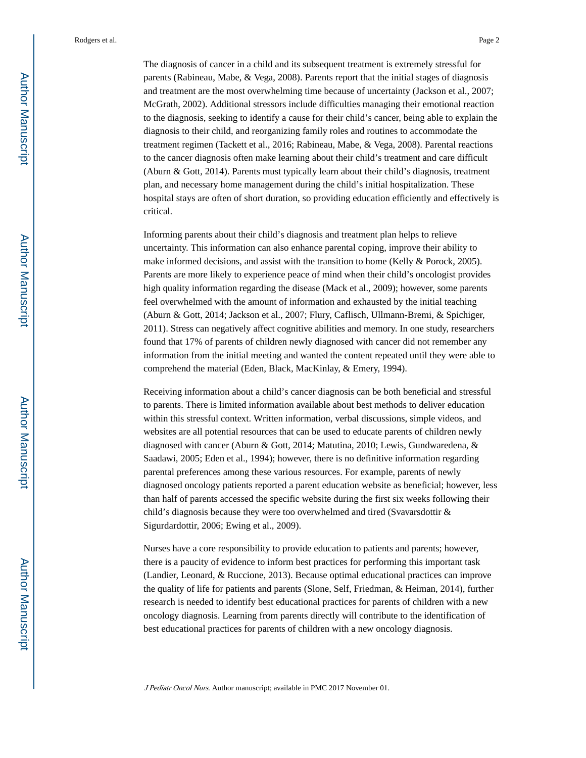The diagnosis of cancer in a child and its subsequent treatment is extremely stressful for parents (Rabineau, Mabe, & Vega, 2008). Parents report that the initial stages of diagnosis and treatment are the most overwhelming time because of uncertainty (Jackson et al., 2007; McGrath, 2002). Additional stressors include difficulties managing their emotional reaction to the diagnosis, seeking to identify a cause for their child's cancer, being able to explain the diagnosis to their child, and reorganizing family roles and routines to accommodate the treatment regimen (Tackett et al., 2016; Rabineau, Mabe, & Vega, 2008). Parental reactions to the cancer diagnosis often make learning about their child's treatment and care difficult (Aburn & Gott, 2014). Parents must typically learn about their child's diagnosis, treatment plan, and necessary home management during the child's initial hospitalization. These hospital stays are often of short duration, so providing education efficiently and effectively is critical.

Informing parents about their child's diagnosis and treatment plan helps to relieve uncertainty. This information can also enhance parental coping, improve their ability to make informed decisions, and assist with the transition to home (Kelly  $\&$  Porock, 2005). Parents are more likely to experience peace of mind when their child's oncologist provides high quality information regarding the disease (Mack et al., 2009); however, some parents feel overwhelmed with the amount of information and exhausted by the initial teaching (Aburn & Gott, 2014; Jackson et al., 2007; Flury, Caflisch, Ullmann-Bremi, & Spichiger, 2011). Stress can negatively affect cognitive abilities and memory. In one study, researchers found that 17% of parents of children newly diagnosed with cancer did not remember any information from the initial meeting and wanted the content repeated until they were able to comprehend the material (Eden, Black, MacKinlay, & Emery, 1994).

Receiving information about a child's cancer diagnosis can be both beneficial and stressful to parents. There is limited information available about best methods to deliver education within this stressful context. Written information, verbal discussions, simple videos, and websites are all potential resources that can be used to educate parents of children newly diagnosed with cancer (Aburn & Gott, 2014; Matutina, 2010; Lewis, Gundwaredena, & Saadawi, 2005; Eden et al., 1994); however, there is no definitive information regarding parental preferences among these various resources. For example, parents of newly diagnosed oncology patients reported a parent education website as beneficial; however, less than half of parents accessed the specific website during the first six weeks following their child's diagnosis because they were too overwhelmed and tired (Svavarsdottir & Sigurdardottir, 2006; Ewing et al., 2009).

Nurses have a core responsibility to provide education to patients and parents; however, there is a paucity of evidence to inform best practices for performing this important task (Landier, Leonard, & Ruccione, 2013). Because optimal educational practices can improve the quality of life for patients and parents (Slone, Self, Friedman, & Heiman, 2014), further research is needed to identify best educational practices for parents of children with a new oncology diagnosis. Learning from parents directly will contribute to the identification of best educational practices for parents of children with a new oncology diagnosis.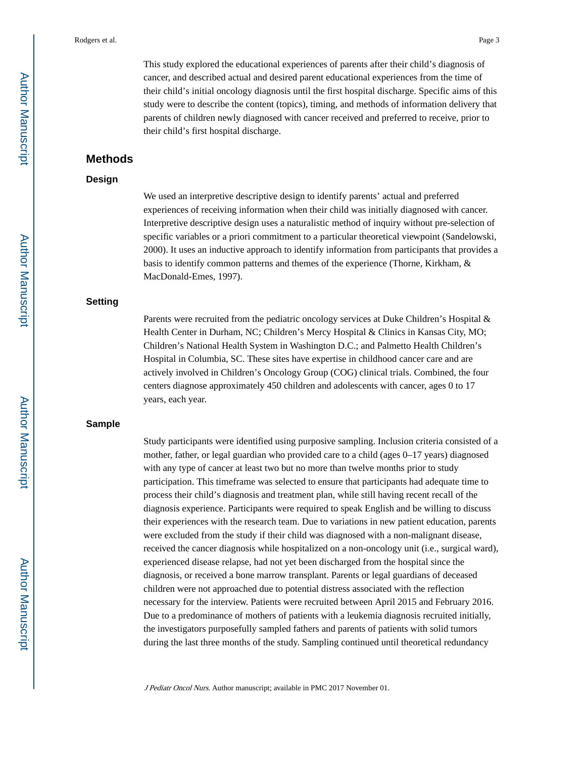This study explored the educational experiences of parents after their child's diagnosis of cancer, and described actual and desired parent educational experiences from the time of their child's initial oncology diagnosis until the first hospital discharge. Specific aims of this study were to describe the content (topics), timing, and methods of information delivery that parents of children newly diagnosed with cancer received and preferred to receive, prior to their child's first hospital discharge.

#### **Methods**

#### **Design**

We used an interpretive descriptive design to identify parents' actual and preferred experiences of receiving information when their child was initially diagnosed with cancer. Interpretive descriptive design uses a naturalistic method of inquiry without pre-selection of specific variables or a priori commitment to a particular theoretical viewpoint (Sandelowski, 2000). It uses an inductive approach to identify information from participants that provides a basis to identify common patterns and themes of the experience (Thorne, Kirkham, & MacDonald-Emes, 1997).

#### **Setting**

Parents were recruited from the pediatric oncology services at Duke Children's Hospital & Health Center in Durham, NC; Children's Mercy Hospital & Clinics in Kansas City, MO; Children's National Health System in Washington D.C.; and Palmetto Health Children's Hospital in Columbia, SC. These sites have expertise in childhood cancer care and are actively involved in Children's Oncology Group (COG) clinical trials. Combined, the four centers diagnose approximately 450 children and adolescents with cancer, ages 0 to 17 years, each year.

#### **Sample**

Study participants were identified using purposive sampling. Inclusion criteria consisted of a mother, father, or legal guardian who provided care to a child (ages 0–17 years) diagnosed with any type of cancer at least two but no more than twelve months prior to study participation. This timeframe was selected to ensure that participants had adequate time to process their child's diagnosis and treatment plan, while still having recent recall of the diagnosis experience. Participants were required to speak English and be willing to discuss their experiences with the research team. Due to variations in new patient education, parents were excluded from the study if their child was diagnosed with a non-malignant disease, received the cancer diagnosis while hospitalized on a non-oncology unit (i.e., surgical ward), experienced disease relapse, had not yet been discharged from the hospital since the diagnosis, or received a bone marrow transplant. Parents or legal guardians of deceased children were not approached due to potential distress associated with the reflection necessary for the interview. Patients were recruited between April 2015 and February 2016. Due to a predominance of mothers of patients with a leukemia diagnosis recruited initially, the investigators purposefully sampled fathers and parents of patients with solid tumors during the last three months of the study. Sampling continued until theoretical redundancy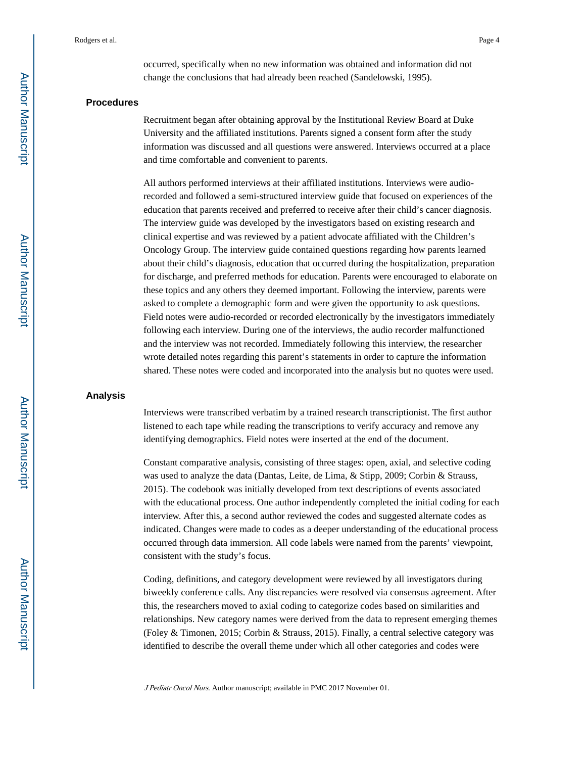occurred, specifically when no new information was obtained and information did not change the conclusions that had already been reached (Sandelowski, 1995).

#### **Procedures**

Recruitment began after obtaining approval by the Institutional Review Board at Duke University and the affiliated institutions. Parents signed a consent form after the study information was discussed and all questions were answered. Interviews occurred at a place and time comfortable and convenient to parents.

All authors performed interviews at their affiliated institutions. Interviews were audiorecorded and followed a semi-structured interview guide that focused on experiences of the education that parents received and preferred to receive after their child's cancer diagnosis. The interview guide was developed by the investigators based on existing research and clinical expertise and was reviewed by a patient advocate affiliated with the Children's Oncology Group. The interview guide contained questions regarding how parents learned about their child's diagnosis, education that occurred during the hospitalization, preparation for discharge, and preferred methods for education. Parents were encouraged to elaborate on these topics and any others they deemed important. Following the interview, parents were asked to complete a demographic form and were given the opportunity to ask questions. Field notes were audio-recorded or recorded electronically by the investigators immediately following each interview. During one of the interviews, the audio recorder malfunctioned and the interview was not recorded. Immediately following this interview, the researcher wrote detailed notes regarding this parent's statements in order to capture the information shared. These notes were coded and incorporated into the analysis but no quotes were used.

#### **Analysis**

Interviews were transcribed verbatim by a trained research transcriptionist. The first author listened to each tape while reading the transcriptions to verify accuracy and remove any identifying demographics. Field notes were inserted at the end of the document.

Constant comparative analysis, consisting of three stages: open, axial, and selective coding was used to analyze the data (Dantas, Leite, de Lima, & Stipp, 2009; Corbin & Strauss, 2015). The codebook was initially developed from text descriptions of events associated with the educational process. One author independently completed the initial coding for each interview. After this, a second author reviewed the codes and suggested alternate codes as indicated. Changes were made to codes as a deeper understanding of the educational process occurred through data immersion. All code labels were named from the parents' viewpoint, consistent with the study's focus.

Coding, definitions, and category development were reviewed by all investigators during biweekly conference calls. Any discrepancies were resolved via consensus agreement. After this, the researchers moved to axial coding to categorize codes based on similarities and relationships. New category names were derived from the data to represent emerging themes (Foley & Timonen, 2015; Corbin & Strauss, 2015). Finally, a central selective category was identified to describe the overall theme under which all other categories and codes were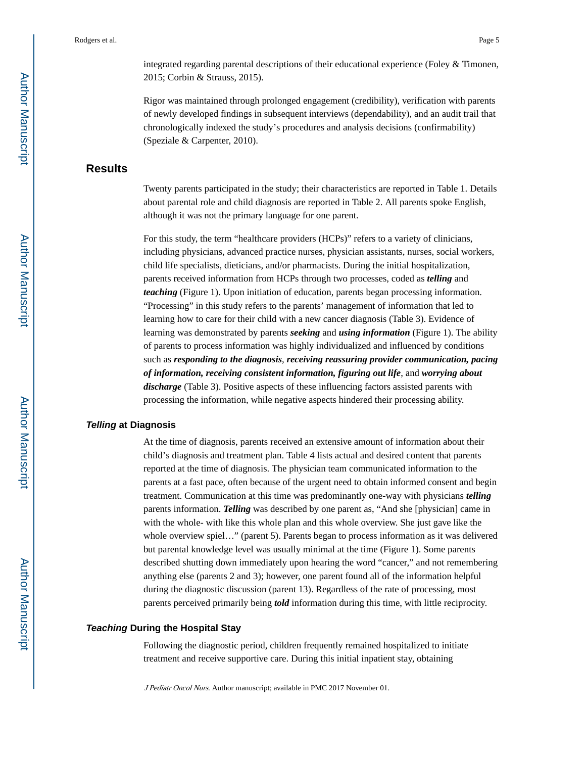integrated regarding parental descriptions of their educational experience (Foley & Timonen, 2015; Corbin & Strauss, 2015).

Rigor was maintained through prolonged engagement (credibility), verification with parents of newly developed findings in subsequent interviews (dependability), and an audit trail that chronologically indexed the study's procedures and analysis decisions (confirmability) (Speziale & Carpenter, 2010).

# **Results**

Twenty parents participated in the study; their characteristics are reported in Table 1. Details about parental role and child diagnosis are reported in Table 2. All parents spoke English, although it was not the primary language for one parent.

For this study, the term "healthcare providers (HCPs)" refers to a variety of clinicians, including physicians, advanced practice nurses, physician assistants, nurses, social workers, child life specialists, dieticians, and/or pharmacists. During the initial hospitalization, parents received information from HCPs through two processes, coded as *telling* and *teaching* (Figure 1). Upon initiation of education, parents began processing information. "Processing" in this study refers to the parents' management of information that led to learning how to care for their child with a new cancer diagnosis (Table 3). Evidence of learning was demonstrated by parents *seeking* and *using information* (Figure 1). The ability of parents to process information was highly individualized and influenced by conditions such as *responding to the diagnosis*, *receiving reassuring provider communication, pacing of information, receiving consistent information, figuring out life*, and *worrying about discharge* (Table 3). Positive aspects of these influencing factors assisted parents with processing the information, while negative aspects hindered their processing ability.

#### **Telling at Diagnosis**

At the time of diagnosis, parents received an extensive amount of information about their child's diagnosis and treatment plan. Table 4 lists actual and desired content that parents reported at the time of diagnosis. The physician team communicated information to the parents at a fast pace, often because of the urgent need to obtain informed consent and begin treatment. Communication at this time was predominantly one-way with physicians *telling*  parents information. *Telling* was described by one parent as, "And she [physician] came in with the whole- with like this whole plan and this whole overview. She just gave like the whole overview spiel..." (parent 5). Parents began to process information as it was delivered but parental knowledge level was usually minimal at the time (Figure 1). Some parents described shutting down immediately upon hearing the word "cancer," and not remembering anything else (parents 2 and 3); however, one parent found all of the information helpful during the diagnostic discussion (parent 13). Regardless of the rate of processing, most parents perceived primarily being *told* information during this time, with little reciprocity.

#### **Teaching During the Hospital Stay**

Following the diagnostic period, children frequently remained hospitalized to initiate treatment and receive supportive care. During this initial inpatient stay, obtaining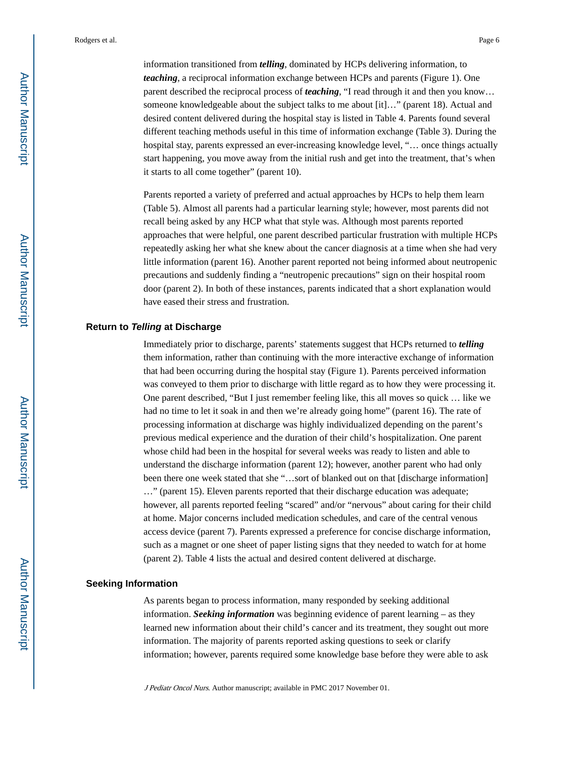information transitioned from *telling*, dominated by HCPs delivering information, to *teaching*, a reciprocal information exchange between HCPs and parents (Figure 1). One parent described the reciprocal process of *teaching*, "I read through it and then you know… someone knowledgeable about the subject talks to me about [it]…" (parent 18). Actual and desired content delivered during the hospital stay is listed in Table 4. Parents found several different teaching methods useful in this time of information exchange (Table 3). During the hospital stay, parents expressed an ever-increasing knowledge level, "… once things actually start happening, you move away from the initial rush and get into the treatment, that's when it starts to all come together" (parent 10).

Parents reported a variety of preferred and actual approaches by HCPs to help them learn (Table 5). Almost all parents had a particular learning style; however, most parents did not recall being asked by any HCP what that style was. Although most parents reported approaches that were helpful, one parent described particular frustration with multiple HCPs repeatedly asking her what she knew about the cancer diagnosis at a time when she had very little information (parent 16). Another parent reported not being informed about neutropenic precautions and suddenly finding a "neutropenic precautions" sign on their hospital room door (parent 2). In both of these instances, parents indicated that a short explanation would have eased their stress and frustration.

#### **Return to Telling at Discharge**

Immediately prior to discharge, parents' statements suggest that HCPs returned to *telling*  them information, rather than continuing with the more interactive exchange of information that had been occurring during the hospital stay (Figure 1). Parents perceived information was conveyed to them prior to discharge with little regard as to how they were processing it. One parent described, "But I just remember feeling like, this all moves so quick … like we had no time to let it soak in and then we're already going home" (parent 16). The rate of processing information at discharge was highly individualized depending on the parent's previous medical experience and the duration of their child's hospitalization. One parent whose child had been in the hospital for several weeks was ready to listen and able to understand the discharge information (parent 12); however, another parent who had only been there one week stated that she "…sort of blanked out on that [discharge information] …" (parent 15). Eleven parents reported that their discharge education was adequate; however, all parents reported feeling "scared" and/or "nervous" about caring for their child at home. Major concerns included medication schedules, and care of the central venous access device (parent 7). Parents expressed a preference for concise discharge information, such as a magnet or one sheet of paper listing signs that they needed to watch for at home (parent 2). Table 4 lists the actual and desired content delivered at discharge.

#### **Seeking Information**

As parents began to process information, many responded by seeking additional information. *Seeking information* was beginning evidence of parent learning – as they learned new information about their child's cancer and its treatment, they sought out more information. The majority of parents reported asking questions to seek or clarify information; however, parents required some knowledge base before they were able to ask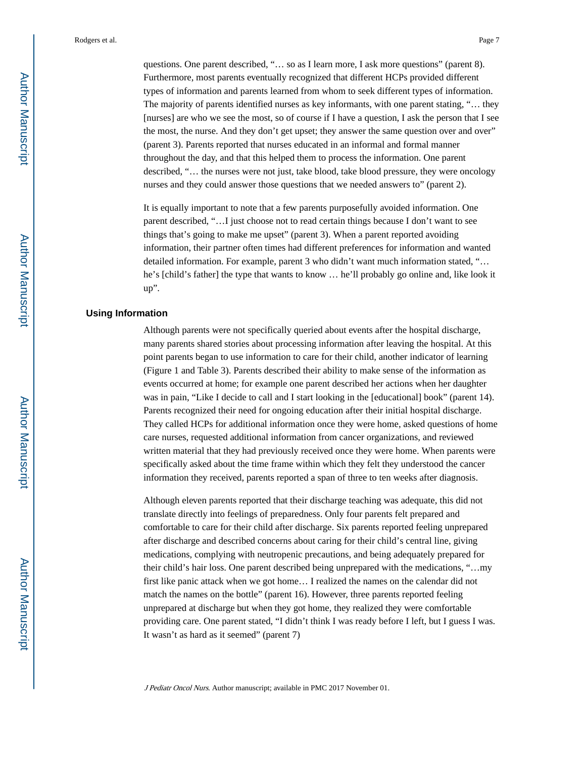questions. One parent described, "… so as I learn more, I ask more questions" (parent 8). Furthermore, most parents eventually recognized that different HCPs provided different types of information and parents learned from whom to seek different types of information. The majority of parents identified nurses as key informants, with one parent stating, "… they [nurses] are who we see the most, so of course if I have a question, I ask the person that I see the most, the nurse. And they don't get upset; they answer the same question over and over" (parent 3). Parents reported that nurses educated in an informal and formal manner throughout the day, and that this helped them to process the information. One parent described, "… the nurses were not just, take blood, take blood pressure, they were oncology nurses and they could answer those questions that we needed answers to" (parent 2).

It is equally important to note that a few parents purposefully avoided information. One parent described, "…I just choose not to read certain things because I don't want to see things that's going to make me upset" (parent 3). When a parent reported avoiding information, their partner often times had different preferences for information and wanted detailed information. For example, parent 3 who didn't want much information stated, "… he's [child's father] the type that wants to know … he'll probably go online and, like look it up".

#### **Using Information**

Although parents were not specifically queried about events after the hospital discharge, many parents shared stories about processing information after leaving the hospital. At this point parents began to use information to care for their child, another indicator of learning (Figure 1 and Table 3). Parents described their ability to make sense of the information as events occurred at home; for example one parent described her actions when her daughter was in pain, "Like I decide to call and I start looking in the [educational] book" (parent 14). Parents recognized their need for ongoing education after their initial hospital discharge. They called HCPs for additional information once they were home, asked questions of home care nurses, requested additional information from cancer organizations, and reviewed written material that they had previously received once they were home. When parents were specifically asked about the time frame within which they felt they understood the cancer information they received, parents reported a span of three to ten weeks after diagnosis.

Although eleven parents reported that their discharge teaching was adequate, this did not translate directly into feelings of preparedness. Only four parents felt prepared and comfortable to care for their child after discharge. Six parents reported feeling unprepared after discharge and described concerns about caring for their child's central line, giving medications, complying with neutropenic precautions, and being adequately prepared for their child's hair loss. One parent described being unprepared with the medications, "…my first like panic attack when we got home… I realized the names on the calendar did not match the names on the bottle" (parent 16). However, three parents reported feeling unprepared at discharge but when they got home, they realized they were comfortable providing care. One parent stated, "I didn't think I was ready before I left, but I guess I was. It wasn't as hard as it seemed" (parent 7)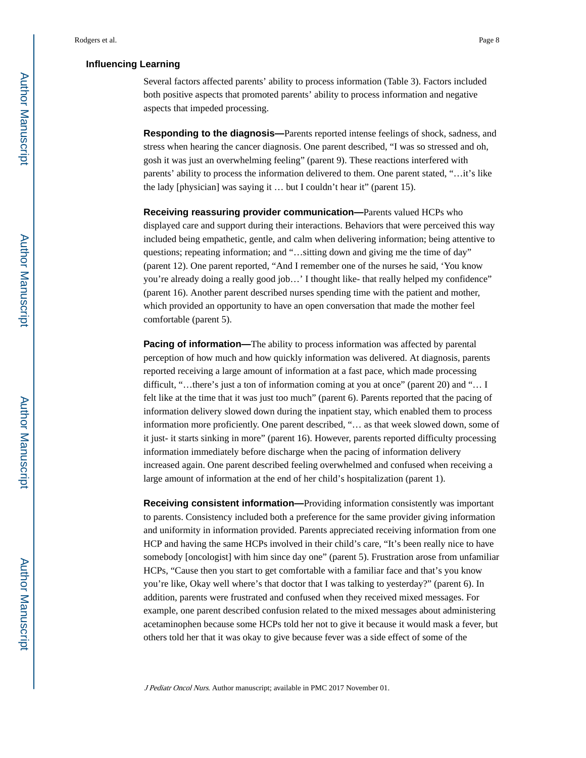#### **Influencing Learning**

Several factors affected parents' ability to process information (Table 3). Factors included both positive aspects that promoted parents' ability to process information and negative aspects that impeded processing.

**Responding to the diagnosis—**Parents reported intense feelings of shock, sadness, and stress when hearing the cancer diagnosis. One parent described, "I was so stressed and oh, gosh it was just an overwhelming feeling" (parent 9). These reactions interfered with parents' ability to process the information delivered to them. One parent stated, "…it's like the lady [physician] was saying it … but I couldn't hear it" (parent 15).

**Receiving reassuring provider communication—**Parents valued HCPs who displayed care and support during their interactions. Behaviors that were perceived this way included being empathetic, gentle, and calm when delivering information; being attentive to questions; repeating information; and "…sitting down and giving me the time of day" (parent 12). One parent reported, "And I remember one of the nurses he said, 'You know you're already doing a really good job…' I thought like- that really helped my confidence" (parent 16). Another parent described nurses spending time with the patient and mother, which provided an opportunity to have an open conversation that made the mother feel comfortable (parent 5).

**Pacing of information—**The ability to process information was affected by parental perception of how much and how quickly information was delivered. At diagnosis, parents reported receiving a large amount of information at a fast pace, which made processing difficult, "…there's just a ton of information coming at you at once" (parent 20) and "… I felt like at the time that it was just too much" (parent 6). Parents reported that the pacing of information delivery slowed down during the inpatient stay, which enabled them to process information more proficiently. One parent described, "… as that week slowed down, some of it just- it starts sinking in more" (parent 16). However, parents reported difficulty processing information immediately before discharge when the pacing of information delivery increased again. One parent described feeling overwhelmed and confused when receiving a large amount of information at the end of her child's hospitalization (parent 1).

**Receiving consistent information—**Providing information consistently was important to parents. Consistency included both a preference for the same provider giving information and uniformity in information provided. Parents appreciated receiving information from one HCP and having the same HCPs involved in their child's care, "It's been really nice to have somebody [oncologist] with him since day one" (parent 5). Frustration arose from unfamiliar HCPs, "Cause then you start to get comfortable with a familiar face and that's you know you're like, Okay well where's that doctor that I was talking to yesterday?" (parent 6). In addition, parents were frustrated and confused when they received mixed messages. For example, one parent described confusion related to the mixed messages about administering acetaminophen because some HCPs told her not to give it because it would mask a fever, but others told her that it was okay to give because fever was a side effect of some of the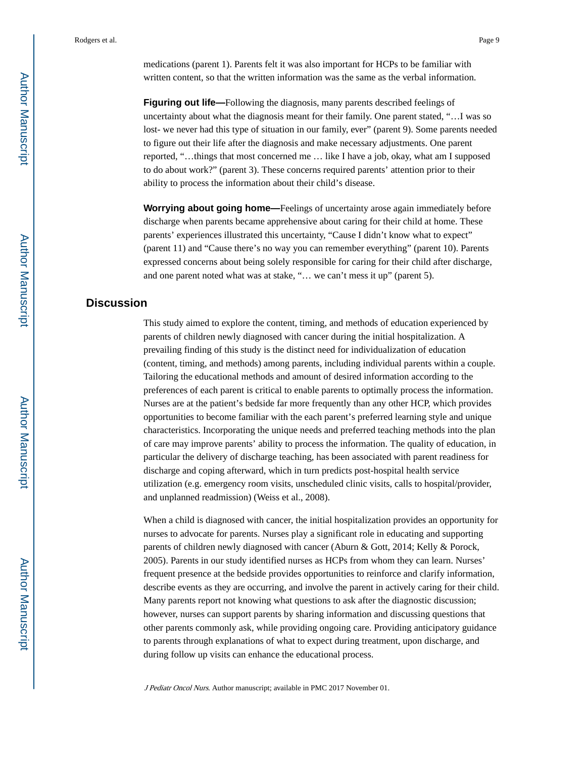**Figuring out life—**Following the diagnosis, many parents described feelings of uncertainty about what the diagnosis meant for their family. One parent stated, "…I was so lost- we never had this type of situation in our family, ever" (parent 9). Some parents needed to figure out their life after the diagnosis and make necessary adjustments. One parent reported, "…things that most concerned me … like I have a job, okay, what am I supposed to do about work?" (parent 3). These concerns required parents' attention prior to their ability to process the information about their child's disease.

written content, so that the written information was the same as the verbal information.

**Worrying about going home—**Feelings of uncertainty arose again immediately before discharge when parents became apprehensive about caring for their child at home. These parents' experiences illustrated this uncertainty, "Cause I didn't know what to expect" (parent 11) and "Cause there's no way you can remember everything" (parent 10). Parents expressed concerns about being solely responsible for caring for their child after discharge, and one parent noted what was at stake, "… we can't mess it up" (parent 5).

# **Discussion**

This study aimed to explore the content, timing, and methods of education experienced by parents of children newly diagnosed with cancer during the initial hospitalization. A prevailing finding of this study is the distinct need for individualization of education (content, timing, and methods) among parents, including individual parents within a couple. Tailoring the educational methods and amount of desired information according to the preferences of each parent is critical to enable parents to optimally process the information. Nurses are at the patient's bedside far more frequently than any other HCP, which provides opportunities to become familiar with the each parent's preferred learning style and unique characteristics. Incorporating the unique needs and preferred teaching methods into the plan of care may improve parents' ability to process the information. The quality of education, in particular the delivery of discharge teaching, has been associated with parent readiness for discharge and coping afterward, which in turn predicts post-hospital health service utilization (e.g. emergency room visits, unscheduled clinic visits, calls to hospital/provider, and unplanned readmission) (Weiss et al., 2008).

When a child is diagnosed with cancer, the initial hospitalization provides an opportunity for nurses to advocate for parents. Nurses play a significant role in educating and supporting parents of children newly diagnosed with cancer (Aburn & Gott, 2014; Kelly & Porock, 2005). Parents in our study identified nurses as HCPs from whom they can learn. Nurses' frequent presence at the bedside provides opportunities to reinforce and clarify information, describe events as they are occurring, and involve the parent in actively caring for their child. Many parents report not knowing what questions to ask after the diagnostic discussion; however, nurses can support parents by sharing information and discussing questions that other parents commonly ask, while providing ongoing care. Providing anticipatory guidance to parents through explanations of what to expect during treatment, upon discharge, and during follow up visits can enhance the educational process.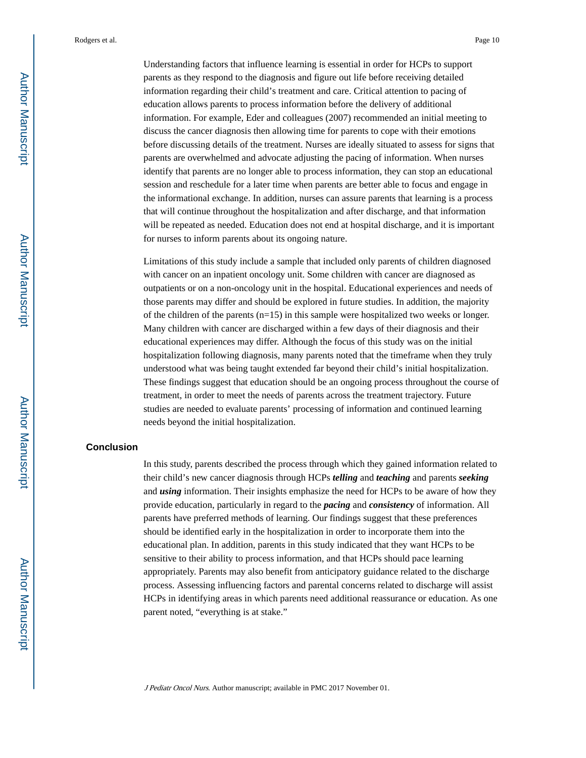Understanding factors that influence learning is essential in order for HCPs to support parents as they respond to the diagnosis and figure out life before receiving detailed information regarding their child's treatment and care. Critical attention to pacing of education allows parents to process information before the delivery of additional information. For example, Eder and colleagues (2007) recommended an initial meeting to discuss the cancer diagnosis then allowing time for parents to cope with their emotions before discussing details of the treatment. Nurses are ideally situated to assess for signs that parents are overwhelmed and advocate adjusting the pacing of information. When nurses identify that parents are no longer able to process information, they can stop an educational session and reschedule for a later time when parents are better able to focus and engage in the informational exchange. In addition, nurses can assure parents that learning is a process that will continue throughout the hospitalization and after discharge, and that information will be repeated as needed. Education does not end at hospital discharge, and it is important for nurses to inform parents about its ongoing nature.

Limitations of this study include a sample that included only parents of children diagnosed with cancer on an inpatient oncology unit. Some children with cancer are diagnosed as outpatients or on a non-oncology unit in the hospital. Educational experiences and needs of those parents may differ and should be explored in future studies. In addition, the majority of the children of the parents  $(n=15)$  in this sample were hospitalized two weeks or longer. Many children with cancer are discharged within a few days of their diagnosis and their educational experiences may differ. Although the focus of this study was on the initial hospitalization following diagnosis, many parents noted that the timeframe when they truly understood what was being taught extended far beyond their child's initial hospitalization. These findings suggest that education should be an ongoing process throughout the course of treatment, in order to meet the needs of parents across the treatment trajectory. Future studies are needed to evaluate parents' processing of information and continued learning needs beyond the initial hospitalization.

#### **Conclusion**

In this study, parents described the process through which they gained information related to their child's new cancer diagnosis through HCPs *telling* and *teaching* and parents *seeking*  and *using* information. Their insights emphasize the need for HCPs to be aware of how they provide education, particularly in regard to the *pacing* and *consistency* of information. All parents have preferred methods of learning. Our findings suggest that these preferences should be identified early in the hospitalization in order to incorporate them into the educational plan. In addition, parents in this study indicated that they want HCPs to be sensitive to their ability to process information, and that HCPs should pace learning appropriately. Parents may also benefit from anticipatory guidance related to the discharge process. Assessing influencing factors and parental concerns related to discharge will assist HCPs in identifying areas in which parents need additional reassurance or education. As one parent noted, "everything is at stake."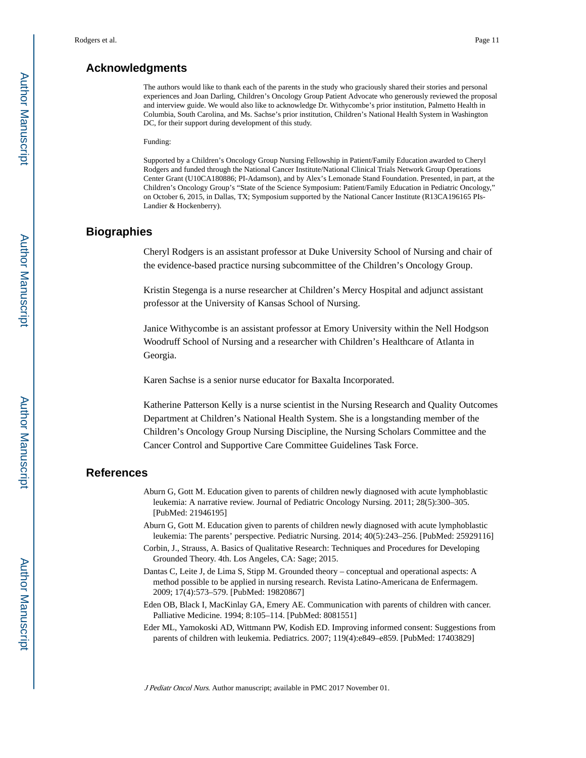# **Acknowledgments**

The authors would like to thank each of the parents in the study who graciously shared their stories and personal experiences and Joan Darling, Children's Oncology Group Patient Advocate who generously reviewed the proposal and interview guide. We would also like to acknowledge Dr. Withycombe's prior institution, Palmetto Health in Columbia, South Carolina, and Ms. Sachse's prior institution, Children's National Health System in Washington DC, for their support during development of this study.

Funding:

Supported by a Children's Oncology Group Nursing Fellowship in Patient/Family Education awarded to Cheryl Rodgers and funded through the National Cancer Institute/National Clinical Trials Network Group Operations Center Grant (U10CA180886; PI-Adamson), and by Alex's Lemonade Stand Foundation. Presented, in part, at the Children's Oncology Group's "State of the Science Symposium: Patient/Family Education in Pediatric Oncology," on October 6, 2015, in Dallas, TX; Symposium supported by the National Cancer Institute (R13CA196165 PIs-Landier & Hockenberry).

# **Biographies**

Cheryl Rodgers is an assistant professor at Duke University School of Nursing and chair of the evidence-based practice nursing subcommittee of the Children's Oncology Group.

Kristin Stegenga is a nurse researcher at Children's Mercy Hospital and adjunct assistant professor at the University of Kansas School of Nursing.

Janice Withycombe is an assistant professor at Emory University within the Nell Hodgson Woodruff School of Nursing and a researcher with Children's Healthcare of Atlanta in Georgia.

Karen Sachse is a senior nurse educator for Baxalta Incorporated.

Katherine Patterson Kelly is a nurse scientist in the Nursing Research and Quality Outcomes Department at Children's National Health System. She is a longstanding member of the Children's Oncology Group Nursing Discipline, the Nursing Scholars Committee and the Cancer Control and Supportive Care Committee Guidelines Task Force.

### **References**

- Aburn G, Gott M. Education given to parents of children newly diagnosed with acute lymphoblastic leukemia: A narrative review. Journal of Pediatric Oncology Nursing. 2011; 28(5):300–305. [PubMed: 21946195]
- Aburn G, Gott M. Education given to parents of children newly diagnosed with acute lymphoblastic leukemia: The parents' perspective. Pediatric Nursing. 2014; 40(5):243–256. [PubMed: 25929116]
- Corbin, J., Strauss, A. Basics of Qualitative Research: Techniques and Procedures for Developing Grounded Theory. 4th. Los Angeles, CA: Sage; 2015.
- Dantas C, Leite J, de Lima S, Stipp M. Grounded theory conceptual and operational aspects: A method possible to be applied in nursing research. Revista Latino-Americana de Enfermagem. 2009; 17(4):573–579. [PubMed: 19820867]
- Eden OB, Black I, MacKinlay GA, Emery AE. Communication with parents of children with cancer. Palliative Medicine. 1994; 8:105–114. [PubMed: 8081551]
- Eder ML, Yamokoski AD, Wittmann PW, Kodish ED. Improving informed consent: Suggestions from parents of children with leukemia. Pediatrics. 2007; 119(4):e849–e859. [PubMed: 17403829]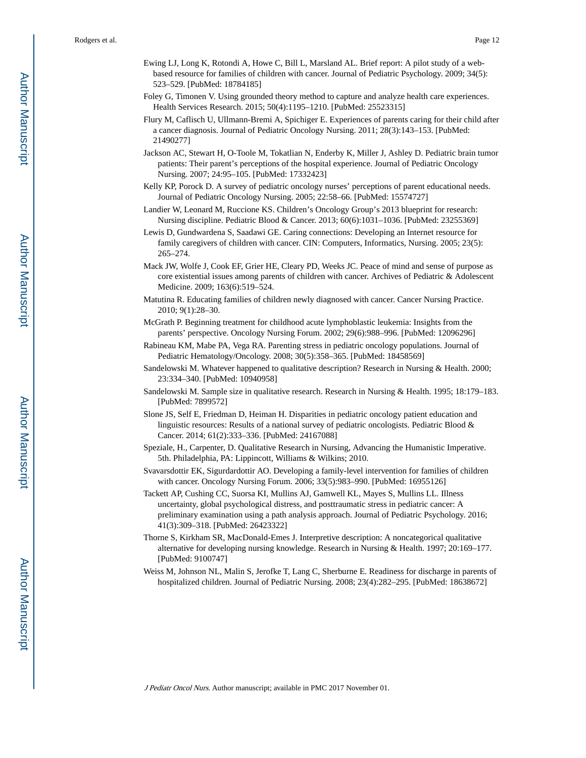- Ewing LJ, Long K, Rotondi A, Howe C, Bill L, Marsland AL. Brief report: A pilot study of a webbased resource for families of children with cancer. Journal of Pediatric Psychology. 2009; 34(5): 523–529. [PubMed: 18784185]
- Foley G, Timonen V. Using grounded theory method to capture and analyze health care experiences. Health Services Research. 2015; 50(4):1195–1210. [PubMed: 25523315]
- Flury M, Caflisch U, Ullmann-Bremi A, Spichiger E. Experiences of parents caring for their child after a cancer diagnosis. Journal of Pediatric Oncology Nursing. 2011; 28(3):143–153. [PubMed: 21490277]
- Jackson AC, Stewart H, O-Toole M, Tokatlian N, Enderby K, Miller J, Ashley D. Pediatric brain tumor patients: Their parent's perceptions of the hospital experience. Journal of Pediatric Oncology Nursing. 2007; 24:95–105. [PubMed: 17332423]
- Kelly KP, Porock D. A survey of pediatric oncology nurses' perceptions of parent educational needs. Journal of Pediatric Oncology Nursing. 2005; 22:58–66. [PubMed: 15574727]
- Landier W, Leonard M, Ruccione KS. Children's Oncology Group's 2013 blueprint for research: Nursing discipline. Pediatric Blood & Cancer. 2013; 60(6):1031–1036. [PubMed: 23255369]
- Lewis D, Gundwardena S, Saadawi GE. Caring connections: Developing an Internet resource for family caregivers of children with cancer. CIN: Computers, Informatics, Nursing. 2005; 23(5): 265–274.
- Mack JW, Wolfe J, Cook EF, Grier HE, Cleary PD, Weeks JC. Peace of mind and sense of purpose as core existential issues among parents of children with cancer. Archives of Pediatric & Adolescent Medicine. 2009; 163(6):519–524.
- Matutina R. Educating families of children newly diagnosed with cancer. Cancer Nursing Practice. 2010; 9(1):28–30.
- McGrath P. Beginning treatment for childhood acute lymphoblastic leukemia: Insights from the parents' perspective. Oncology Nursing Forum. 2002; 29(6):988–996. [PubMed: 12096296]
- Rabineau KM, Mabe PA, Vega RA. Parenting stress in pediatric oncology populations. Journal of Pediatric Hematology/Oncology. 2008; 30(5):358–365. [PubMed: 18458569]
- Sandelowski M. Whatever happened to qualitative description? Research in Nursing & Health. 2000; 23:334–340. [PubMed: 10940958]
- Sandelowski M. Sample size in qualitative research. Research in Nursing & Health. 1995; 18:179–183. [PubMed: 7899572]
- Slone JS, Self E, Friedman D, Heiman H. Disparities in pediatric oncology patient education and linguistic resources: Results of a national survey of pediatric oncologists. Pediatric Blood & Cancer. 2014; 61(2):333–336. [PubMed: 24167088]
- Speziale, H., Carpenter, D. Qualitative Research in Nursing, Advancing the Humanistic Imperative. 5th. Philadelphia, PA: Lippincott, Williams & Wilkins; 2010.
- Svavarsdottir EK, Sigurdardottir AO. Developing a family-level intervention for families of children with cancer. Oncology Nursing Forum. 2006; 33(5):983–990. [PubMed: 16955126]
- Tackett AP, Cushing CC, Suorsa KI, Mullins AJ, Gamwell KL, Mayes S, Mullins LL. Illness uncertainty, global psychological distress, and posttraumatic stress in pediatric cancer: A preliminary examination using a path analysis approach. Journal of Pediatric Psychology. 2016; 41(3):309–318. [PubMed: 26423322]
- Thorne S, Kirkham SR, MacDonald-Emes J. Interpretive description: A noncategorical qualitative alternative for developing nursing knowledge. Research in Nursing & Health. 1997; 20:169–177. [PubMed: 9100747]
- Weiss M, Johnson NL, Malin S, Jerofke T, Lang C, Sherburne E. Readiness for discharge in parents of hospitalized children. Journal of Pediatric Nursing. 2008; 23(4):282–295. [PubMed: 18638672]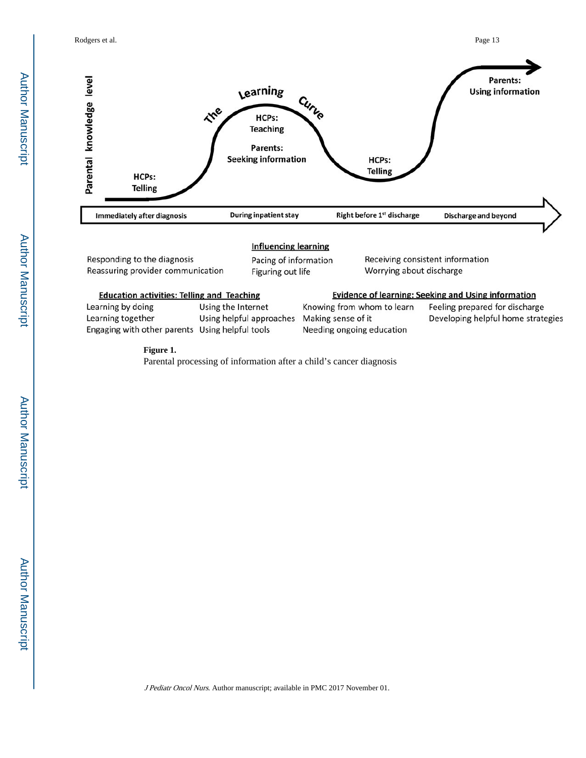

Learning by doing Learning together Engaging with other parents Using helpful tools

Using the Internet Using helpful approaches

Knowing from whom to learn Making sense of it Needing ongoing education

Feeling prepared for discharge Developing helpful home strategies

**Figure 1.** 

Parental processing of information after a child's cancer diagnosis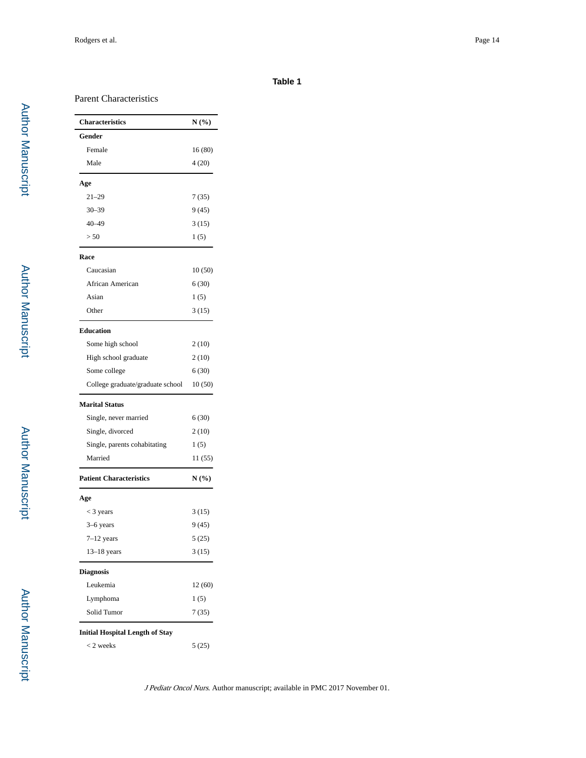#### Parent Characteristics

| <b>Characteristics</b>           | N(%)    |
|----------------------------------|---------|
| Gender                           |         |
| Female                           | 16(80)  |
| Male                             | 4(20)   |
| Age                              |         |
| $21 - 29$                        | 7(35)   |
| $30 - 39$                        | 9 (45)  |
| $40 - 49$                        | 3(15)   |
| > 50                             | 1(5)    |
| Race                             |         |
| Caucasian                        | 10(50)  |
| African American                 | 6(30)   |
| Asian                            | 1(5)    |
| Other                            | 3(15)   |
| <b>Education</b>                 |         |
| Some high school                 | 2(10)   |
| High school graduate             | 2(10)   |
| Some college                     | 6(30)   |
| College graduate/graduate school | 10(50)  |
| <b>Marital Status</b>            |         |
| Single, never married            | 6(30)   |
| Single, divorced                 | 2(10)   |
| Single, parents cohabitating     | 1(5)    |
| Married                          | 11 (55) |
| <b>Patient Characteristics</b>   | N (%)   |
| Age                              |         |
| $<$ 3 years                      | 3(15)   |
| 3–6 years                        | 9(45)   |
| $7-12$ years                     | 5(25)   |
| $13-18$ years                    | 3(15)   |
| <b>Diagnosis</b>                 |         |
| Leukemia                         | 12(60)  |
|                                  | 1(5)    |
| Lymphoma                         |         |

 $< 2$  weeks  $5 (25)$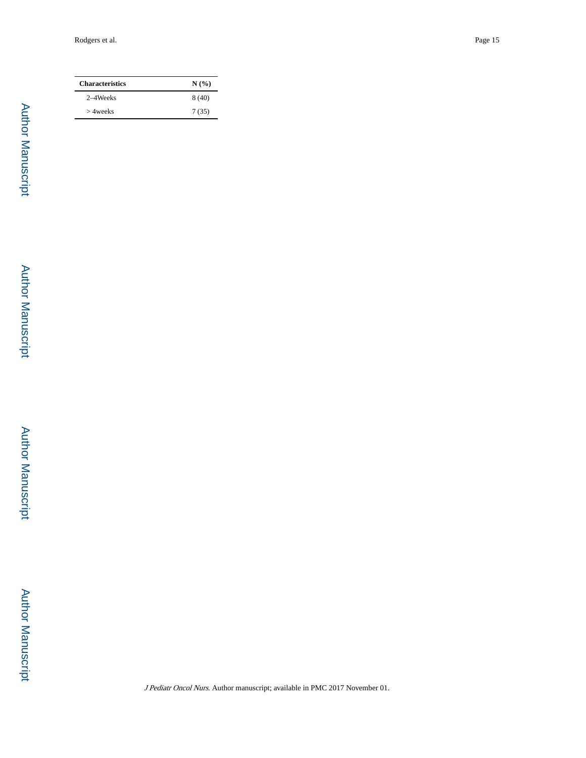| <b>Characteristics</b> | N(%)  |
|------------------------|-------|
| 2–4Weeks               | 8(40) |
| $>$ 4 weeks            | 7(35) |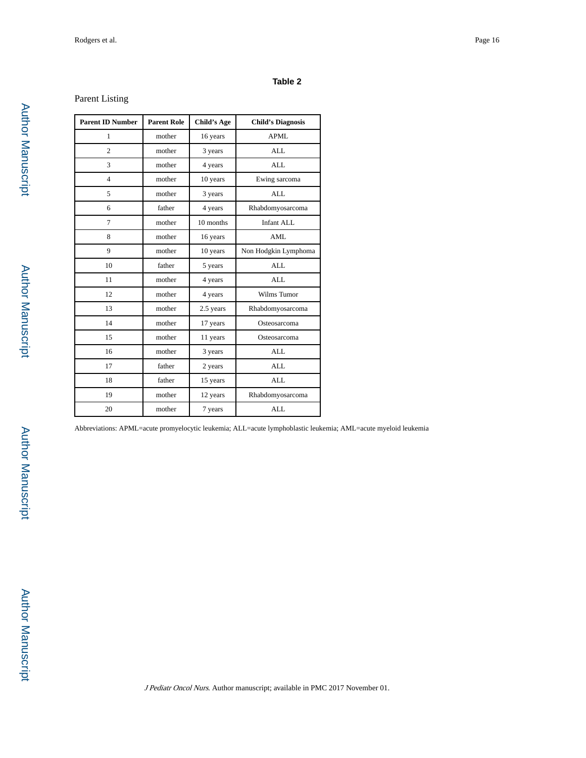# Parent Listing

| <b>Parent ID Number</b> | <b>Parent Role</b> | Child's Age | <b>Child's Diagnosis</b> |
|-------------------------|--------------------|-------------|--------------------------|
| 1                       | mother             | 16 years    | <b>APML</b>              |
| $\overline{c}$          | mother             | 3 years     | AI.                      |
| 3                       | mother             | 4 years     | <b>ALL</b>               |
| $\overline{4}$          | mother             | 10 years    | Ewing sarcoma            |
| 5                       | mother             | 3 years     | <b>ALL</b>               |
| 6                       | father             | 4 years     | Rhabdomyosarcoma         |
| 7                       | mother             | 10 months   | <b>Infant ALL</b>        |
| 8                       | mother             | 16 years    | AML                      |
| 9                       | mother             | 10 years    | Non Hodgkin Lymphoma     |
| 10                      | father             | 5 years     | <b>ALL</b>               |
| 11                      | mother             | 4 years     | <b>ALL</b>               |
| 12                      | mother             | 4 years     | Wilms Tumor              |
| 13                      | mother             | 2.5 years   | Rhabdomyosarcoma         |
| 14                      | mother             | 17 years    | Osteosarcoma             |
| 15                      | mother             | 11 years    | Osteosarcoma             |
| 16                      | mother             | 3 years     | <b>ALL</b>               |
| 17                      | father             | 2 years     | <b>ALL</b>               |
| 18                      | father             | 15 years    | <b>ALL</b>               |
| 19                      | mother             | 12 years    | Rhabdomyosarcoma         |
| 20                      | mother             | 7 years     | <b>ALL</b>               |

Abbreviations: APML=acute promyelocytic leukemia; ALL=acute lymphoblastic leukemia; AML=acute myeloid leukemia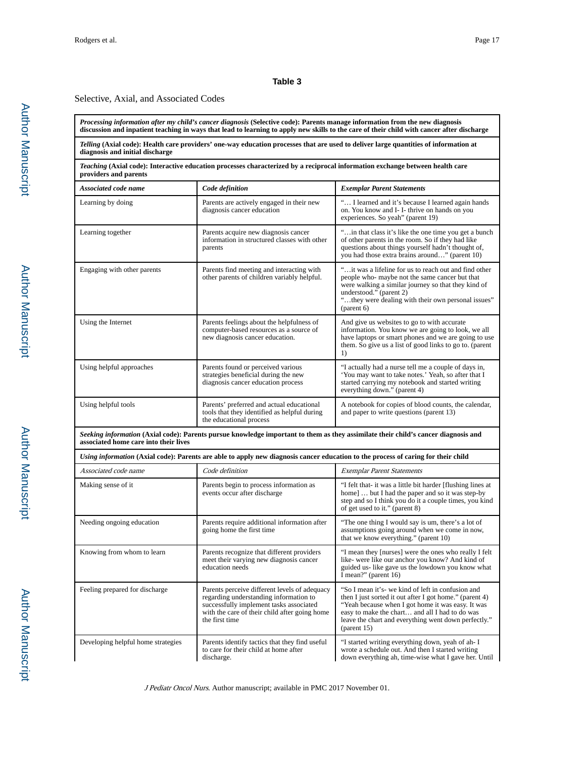#### Selective, Axial, and Associated Codes

*Processing information after my child's cancer diagnosis* **(Selective code): Parents manage information from the new diagnosis discussion and inpatient teaching in ways that lead to learning to apply new skills to the care of their child with cancer after discharge**

*Telling* **(Axial code): Health care providers' one-way education processes that are used to deliver large quantities of information at diagnosis and initial discharge**

*Teaching* **(Axial code): Interactive education processes characterized by a reciprocal information exchange between health care providers and parents**

| Associated code name                  | Code definition                                                                                                                                                                                       | <b>Exemplar Parent Statements</b>                                                                                                                                                                                                                                                          |
|---------------------------------------|-------------------------------------------------------------------------------------------------------------------------------------------------------------------------------------------------------|--------------------------------------------------------------------------------------------------------------------------------------------------------------------------------------------------------------------------------------------------------------------------------------------|
| Learning by doing                     | Parents are actively engaged in their new<br>diagnosis cancer education                                                                                                                               | " I learned and it's because I learned again hands<br>on. You know and I- I- thrive on hands on you<br>experiences. So yeah" (parent 19)                                                                                                                                                   |
| Learning together                     | Parents acquire new diagnosis cancer<br>information in structured classes with other<br>parents                                                                                                       | " in that class it's like the one time you get a bunch<br>of other parents in the room. So if they had like<br>questions about things yourself hadn't thought of,<br>you had those extra brains around" (parent 10)                                                                        |
| Engaging with other parents           | Parents find meeting and interacting with<br>other parents of children variably helpful.                                                                                                              | " it was a lifeline for us to reach out and find other<br>people who- maybe not the same cancer but that<br>were walking a similar journey so that they kind of<br>understood." (parent 2)<br>"they were dealing with their own personal issues"<br>(parent 6)                             |
| Using the Internet                    | Parents feelings about the helpfulness of<br>computer-based resources as a source of<br>new diagnosis cancer education.                                                                               | And give us websites to go to with accurate<br>information. You know we are going to look, we all<br>have laptops or smart phones and we are going to use<br>them. So give us a list of good links to go to. (parent<br>1)                                                                 |
| Using helpful approaches              | Parents found or perceived various<br>strategies beneficial during the new<br>diagnosis cancer education process                                                                                      | "I actually had a nurse tell me a couple of days in,<br>'You may want to take notes.' Yeah, so after that I<br>started carrying my notebook and started writing<br>everything down." (parent 4)                                                                                            |
| Using helpful tools                   | Parents' preferred and actual educational<br>tools that they identified as helpful during<br>the educational process                                                                                  | A notebook for copies of blood counts, the calendar,<br>and paper to write questions (parent 13)                                                                                                                                                                                           |
| associated home care into their lives |                                                                                                                                                                                                       | Seeking information (Axial code): Parents pursue knowledge important to them as they assimilate their child's cancer diagnosis and                                                                                                                                                         |
|                                       |                                                                                                                                                                                                       |                                                                                                                                                                                                                                                                                            |
|                                       | Using information (Axial code): Parents are able to apply new diagnosis cancer education to the process of caring for their child                                                                     |                                                                                                                                                                                                                                                                                            |
| Associated code name                  | Code definition                                                                                                                                                                                       | <b>Exemplar Parent Statements</b>                                                                                                                                                                                                                                                          |
| Making sense of it                    | Parents begin to process information as<br>events occur after discharge                                                                                                                               | "I felt that- it was a little bit harder [flushing lines at<br>home] but I had the paper and so it was step-by<br>step and so I think you do it a couple times, you kind<br>of get used to it." (parent 8)                                                                                 |
| Needing ongoing education             | Parents require additional information after<br>going home the first time                                                                                                                             | "The one thing I would say is um, there's a lot of<br>assumptions going around when we come in now,<br>that we know everything." (parent 10)                                                                                                                                               |
| Knowing from whom to learn            | Parents recognize that different providers<br>meet their varying new diagnosis cancer<br>education needs                                                                                              | "I mean they [nurses] were the ones who really I felt<br>like-were like our anchor you know? And kind of<br>guided us- like gave us the lowdown you know what<br>I mean?" (parent 16)                                                                                                      |
| Feeling prepared for discharge        | Parents perceive different levels of adequacy<br>regarding understanding information to<br>successfully implement tasks associated<br>with the care of their child after going home<br>the first time | "So I mean it's- we kind of left in confusion and<br>then I just sorted it out after I got home." (parent 4)<br>"Yeah because when I got home it was easy. It was<br>easy to make the chart and all I had to do was<br>leave the chart and everything went down perfectly."<br>(parent 15) |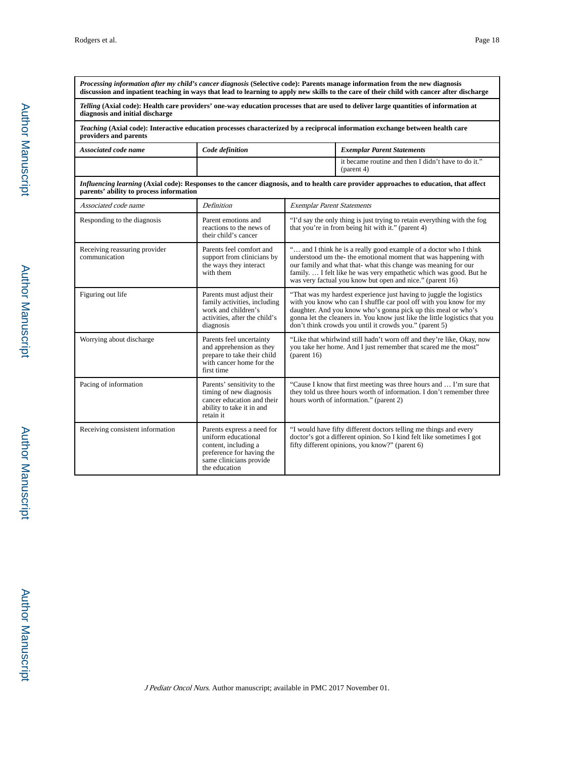| diagnosis and initial discharge                |                                                                                                                                                    |                                                                                                                                                                                                                                                                                                                                                      | Telling (Axial code): Health care providers' one-way education processes that are used to deliver large quantities of information at   |
|------------------------------------------------|----------------------------------------------------------------------------------------------------------------------------------------------------|------------------------------------------------------------------------------------------------------------------------------------------------------------------------------------------------------------------------------------------------------------------------------------------------------------------------------------------------------|----------------------------------------------------------------------------------------------------------------------------------------|
| providers and parents                          |                                                                                                                                                    |                                                                                                                                                                                                                                                                                                                                                      | Teaching (Axial code): Interactive education processes characterized by a reciprocal information exchange between health care          |
| Associated code name                           | Code definition                                                                                                                                    |                                                                                                                                                                                                                                                                                                                                                      | <b>Exemplar Parent Statements</b>                                                                                                      |
|                                                |                                                                                                                                                    |                                                                                                                                                                                                                                                                                                                                                      | it became routine and then I didn't have to do it."<br>(parent 4)                                                                      |
| parents' ability to process information        |                                                                                                                                                    |                                                                                                                                                                                                                                                                                                                                                      | Influencing learning (Axial code): Responses to the cancer diagnosis, and to health care provider approaches to education, that affect |
| Associated code name                           | <b>Definition</b>                                                                                                                                  | <b>Exemplar Parent Statements</b>                                                                                                                                                                                                                                                                                                                    |                                                                                                                                        |
| Responding to the diagnosis                    | Parent emotions and<br>reactions to the news of<br>their child's cancer                                                                            | "I'd say the only thing is just trying to retain everything with the fog<br>that you're in from being hit with it." (parent 4)                                                                                                                                                                                                                       |                                                                                                                                        |
| Receiving reassuring provider<br>communication | Parents feel comfort and<br>support from clinicians by<br>the ways they interact<br>with them                                                      | " and I think he is a really good example of a doctor who I think<br>understood um the- the emotional moment that was happening with<br>our family and what that-what this change was meaning for our<br>family I felt like he was very empathetic which was good. But he<br>was very factual you know but open and nice." (parent 16)               |                                                                                                                                        |
| Figuring out life                              | Parents must adjust their<br>family activities, including<br>work and children's<br>activities, after the child's<br>diagnosis                     | "That was my hardest experience just having to juggle the logistics"<br>with you know who can I shuffle car pool off with you know for my<br>daughter. And you know who's gonna pick up this meal or who's<br>gonna let the cleaners in. You know just like the little logistics that you<br>don't think crowds you until it crowds you." (parent 5) |                                                                                                                                        |
| Worrying about discharge                       | Parents feel uncertainty<br>and apprehension as they<br>prepare to take their child<br>with cancer home for the<br>first time                      | "Like that whirlwind still hadn't worn off and they're like, Okay, now<br>you take her home. And I just remember that scared me the most"<br>(parent 16)                                                                                                                                                                                             |                                                                                                                                        |
| Pacing of information                          | Parents' sensitivity to the<br>timing of new diagnosis<br>cancer education and their<br>ability to take it in and<br>retain it                     | "Cause I know that first meeting was three hours and  I'm sure that<br>they told us three hours worth of information. I don't remember three<br>hours worth of information." (parent 2)                                                                                                                                                              |                                                                                                                                        |
| Receiving consistent information               | Parents express a need for<br>uniform educational<br>content, including a<br>preference for having the<br>same clinicians provide<br>the education | "I would have fifty different doctors telling me things and every<br>doctor's got a different opinion. So I kind felt like sometimes I got<br>fifty different opinions, you know?" (parent 6)                                                                                                                                                        |                                                                                                                                        |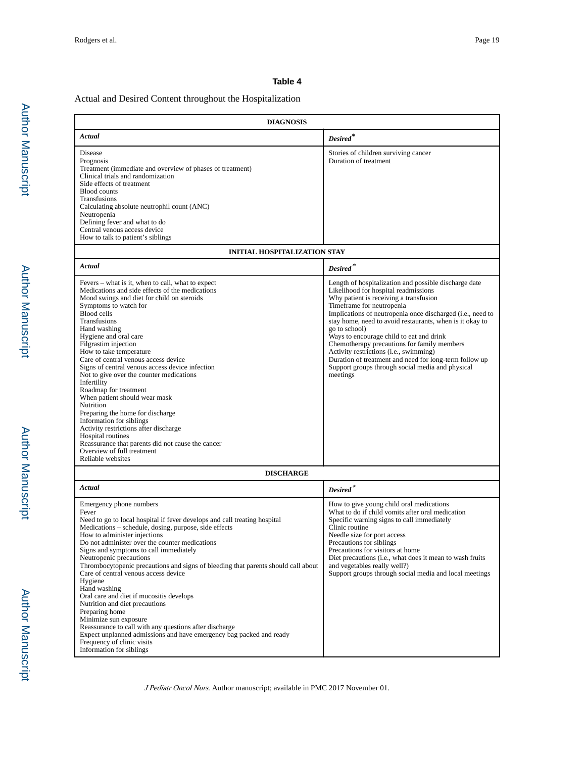# Actual and Desired Content throughout the Hospitalization

| <b>DIAGNOSIS</b>                                                                                                                                                                                                                                                                                                                                                                                                                                                                                                                                                                                                                                                                                                                                                                                          |                                                                                                                                                                                                                                                                                                                                                                                                                                                                                                                                                                                |
|-----------------------------------------------------------------------------------------------------------------------------------------------------------------------------------------------------------------------------------------------------------------------------------------------------------------------------------------------------------------------------------------------------------------------------------------------------------------------------------------------------------------------------------------------------------------------------------------------------------------------------------------------------------------------------------------------------------------------------------------------------------------------------------------------------------|--------------------------------------------------------------------------------------------------------------------------------------------------------------------------------------------------------------------------------------------------------------------------------------------------------------------------------------------------------------------------------------------------------------------------------------------------------------------------------------------------------------------------------------------------------------------------------|
| Actual                                                                                                                                                                                                                                                                                                                                                                                                                                                                                                                                                                                                                                                                                                                                                                                                    | $Desired^*$                                                                                                                                                                                                                                                                                                                                                                                                                                                                                                                                                                    |
| Disease<br>Prognosis<br>Treatment (immediate and overview of phases of treatment)<br>Clinical trials and randomization<br>Side effects of treatment<br><b>Blood counts</b><br>Transfusions<br>Calculating absolute neutrophil count (ANC)<br>Neutropenia<br>Defining fever and what to do<br>Central venous access device<br>How to talk to patient's siblings                                                                                                                                                                                                                                                                                                                                                                                                                                            | Stories of children surviving cancer<br>Duration of treatment                                                                                                                                                                                                                                                                                                                                                                                                                                                                                                                  |
| <b>INITIAL HOSPITALIZATION STAY</b>                                                                                                                                                                                                                                                                                                                                                                                                                                                                                                                                                                                                                                                                                                                                                                       |                                                                                                                                                                                                                                                                                                                                                                                                                                                                                                                                                                                |
| Actual                                                                                                                                                                                                                                                                                                                                                                                                                                                                                                                                                                                                                                                                                                                                                                                                    | $Desired^*$                                                                                                                                                                                                                                                                                                                                                                                                                                                                                                                                                                    |
| Fevers – what is it, when to call, what to expect<br>Medications and side effects of the medications<br>Mood swings and diet for child on steroids<br>Symptoms to watch for<br>Blood cells<br>Transfusions<br>Hand washing<br>Hygiene and oral care<br>Filgrastim injection<br>How to take temperature<br>Care of central venous access device<br>Signs of central venous access device infection<br>Not to give over the counter medications<br>Infertility<br>Roadmap for treatment<br>When patient should wear mask<br>Nutrition<br>Preparing the home for discharge<br>Information for siblings<br>Activity restrictions after discharge<br>Hospital routines<br>Reassurance that parents did not cause the cancer<br>Overview of full treatment<br>Reliable websites                                 | Length of hospitalization and possible discharge date<br>Likelihood for hospital readmissions<br>Why patient is receiving a transfusion<br>Timeframe for neutropenia<br>Implications of neutropenia once discharged (i.e., need to<br>stay home, need to avoid restaurants, when is it okay to<br>go to school)<br>Ways to encourage child to eat and drink<br>Chemotherapy precautions for family members<br>Activity restrictions (i.e., swimming)<br>Duration of treatment and need for long-term follow up<br>Support groups through social media and physical<br>meetings |
| <b>DISCHARGE</b>                                                                                                                                                                                                                                                                                                                                                                                                                                                                                                                                                                                                                                                                                                                                                                                          |                                                                                                                                                                                                                                                                                                                                                                                                                                                                                                                                                                                |
| Actual                                                                                                                                                                                                                                                                                                                                                                                                                                                                                                                                                                                                                                                                                                                                                                                                    | $Desired^*$                                                                                                                                                                                                                                                                                                                                                                                                                                                                                                                                                                    |
| Emergency phone numbers<br>Fever<br>Need to go to local hospital if fever develops and call treating hospital<br>Medications – schedule, dosing, purpose, side effects<br>How to administer injections<br>Do not administer over the counter medications<br>Signs and symptoms to call immediately<br>Neutropenic precautions<br>Thrombocytopenic precautions and signs of bleeding that parents should call about<br>Care of central venous access device<br>Hygiene<br>Hand washing<br>Oral care and diet if mucositis develops<br>Nutrition and diet precautions<br>Preparing home<br>Minimize sun exposure<br>Reassurance to call with any questions after discharge<br>Expect unplanned admissions and have emergency bag packed and ready<br>Frequency of clinic visits<br>Information for siblings | How to give young child oral medications<br>What to do if child vomits after oral medication<br>Specific warning signs to call immediately<br>Clinic routine<br>Needle size for port access<br>Precautions for siblings<br>Precautions for visitors at home<br>Diet precautions (i.e., what does it mean to wash fruits<br>and vegetables really well?)<br>Support groups through social media and local meetings                                                                                                                                                              |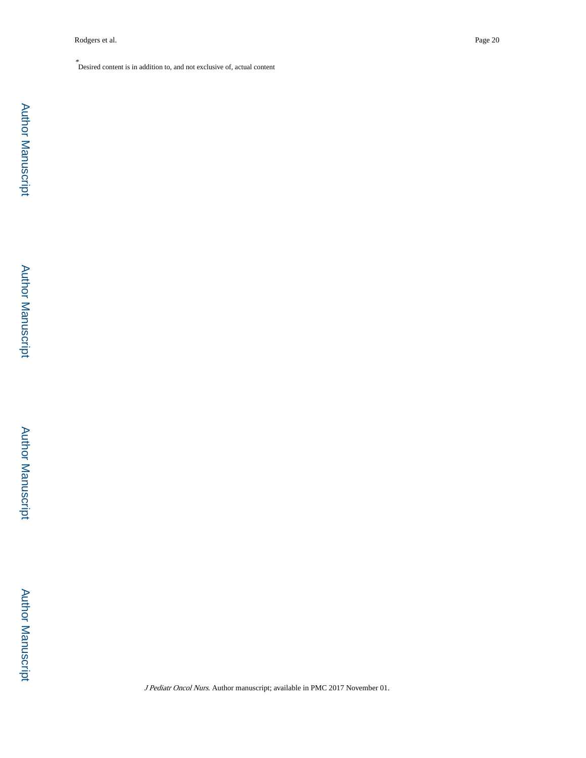\* Desired content is in addition to, and not exclusive of, actual content